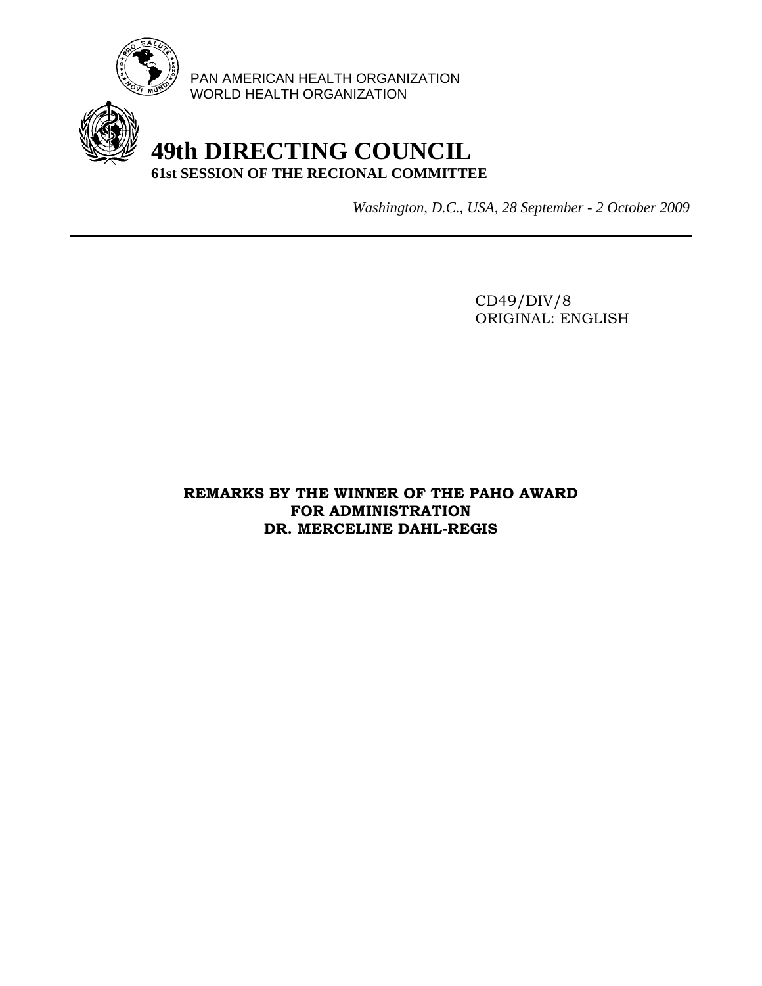

PAN AMERICAN HEALTH ORGANIZATION WORLD HEALTH ORGANIZATION

## **49th DIRECTING COUNCIL 61st SESSION OF THE RECIONAL COMMITTEE**

*Washington, D.C., USA, 28 September - 2 October 2009*

 CD49/DIV/8 ORIGINAL: ENGLISH

**REMARKS BY THE WINNER OF THE PAHO AWARD FOR ADMINISTRATION DR. MERCELINE DAHL-REGIS**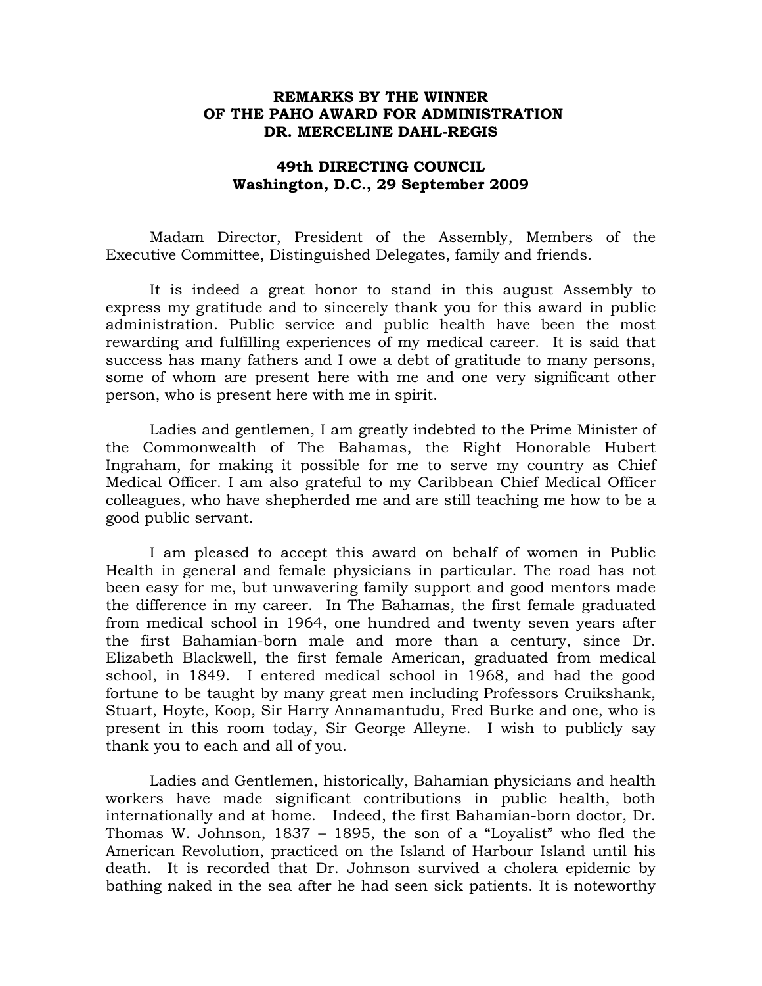## **REMARKS BY THE WINNER OF THE PAHO AWARD FOR ADMINISTRATION DR. MERCELINE DAHL-REGIS**

## **49th DIRECTING COUNCIL Washington, D.C., 29 September 2009**

Madam Director, President of the Assembly, Members of the Executive Committee, Distinguished Delegates, family and friends.

It is indeed a great honor to stand in this august Assembly to express my gratitude and to sincerely thank you for this award in public administration. Public service and public health have been the most rewarding and fulfilling experiences of my medical career. It is said that success has many fathers and I owe a debt of gratitude to many persons, some of whom are present here with me and one very significant other person, who is present here with me in spirit.

Ladies and gentlemen, I am greatly indebted to the Prime Minister of the Commonwealth of The Bahamas, the Right Honorable Hubert Ingraham, for making it possible for me to serve my country as Chief Medical Officer. I am also grateful to my Caribbean Chief Medical Officer colleagues, who have shepherded me and are still teaching me how to be a good public servant.

I am pleased to accept this award on behalf of women in Public Health in general and female physicians in particular. The road has not been easy for me, but unwavering family support and good mentors made the difference in my career. In The Bahamas, the first female graduated from medical school in 1964, one hundred and twenty seven years after the first Bahamian-born male and more than a century, since Dr. Elizabeth Blackwell, the first female American, graduated from medical school, in 1849. I entered medical school in 1968, and had the good fortune to be taught by many great men including Professors Cruikshank, Stuart, Hoyte, Koop, Sir Harry Annamantudu, Fred Burke and one, who is present in this room today, Sir George Alleyne. I wish to publicly say thank you to each and all of you.

Ladies and Gentlemen, historically, Bahamian physicians and health workers have made significant contributions in public health, both internationally and at home. Indeed, the first Bahamian-born doctor, Dr. Thomas W. Johnson, 1837 – 1895, the son of a "Loyalist" who fled the American Revolution, practiced on the Island of Harbour Island until his death. It is recorded that Dr. Johnson survived a cholera epidemic by bathing naked in the sea after he had seen sick patients. It is noteworthy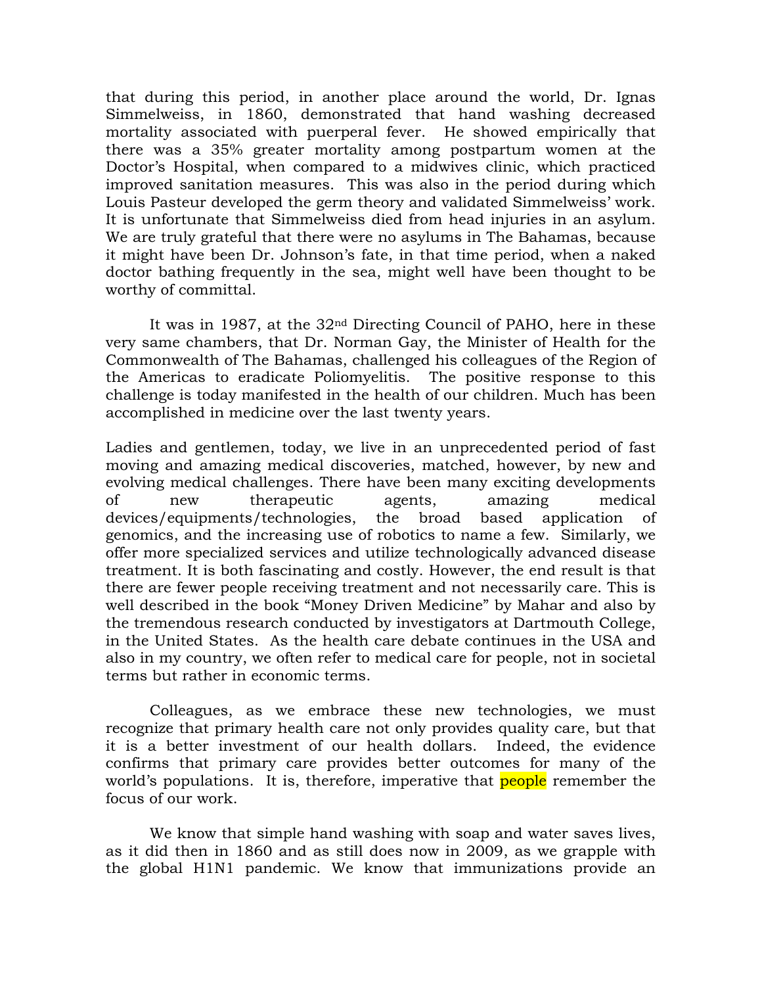that during this period, in another place around the world, Dr. Ignas Simmelweiss, in 1860, demonstrated that hand washing decreased mortality associated with puerperal fever. He showed empirically that there was a 35% greater mortality among postpartum women at the Doctor's Hospital, when compared to a midwives clinic, which practiced improved sanitation measures. This was also in the period during which Louis Pasteur developed the germ theory and validated Simmelweiss' work. It is unfortunate that Simmelweiss died from head injuries in an asylum. We are truly grateful that there were no asylums in The Bahamas, because it might have been Dr. Johnson's fate, in that time period, when a naked doctor bathing frequently in the sea, might well have been thought to be worthy of committal.

It was in 1987, at the 32nd Directing Council of PAHO, here in these very same chambers, that Dr. Norman Gay, the Minister of Health for the Commonwealth of The Bahamas, challenged his colleagues of the Region of the Americas to eradicate Poliomyelitis. The positive response to this challenge is today manifested in the health of our children. Much has been accomplished in medicine over the last twenty years.

Ladies and gentlemen, today, we live in an unprecedented period of fast moving and amazing medical discoveries, matched, however, by new and evolving medical challenges. There have been many exciting developments of new therapeutic agents, amazing medical devices/equipments/technologies, the broad based application of genomics, and the increasing use of robotics to name a few. Similarly, we offer more specialized services and utilize technologically advanced disease treatment. It is both fascinating and costly. However, the end result is that there are fewer people receiving treatment and not necessarily care. This is well described in the book "Money Driven Medicine" by Mahar and also by the tremendous research conducted by investigators at Dartmouth College, in the United States. As the health care debate continues in the USA and also in my country, we often refer to medical care for people, not in societal terms but rather in economic terms.

Colleagues, as we embrace these new technologies, we must recognize that primary health care not only provides quality care, but that it is a better investment of our health dollars. Indeed, the evidence confirms that primary care provides better outcomes for many of the world's populations. It is, therefore, imperative that **people** remember the focus of our work.

We know that simple hand washing with soap and water saves lives, as it did then in 1860 and as still does now in 2009, as we grapple with the global H1N1 pandemic. We know that immunizations provide an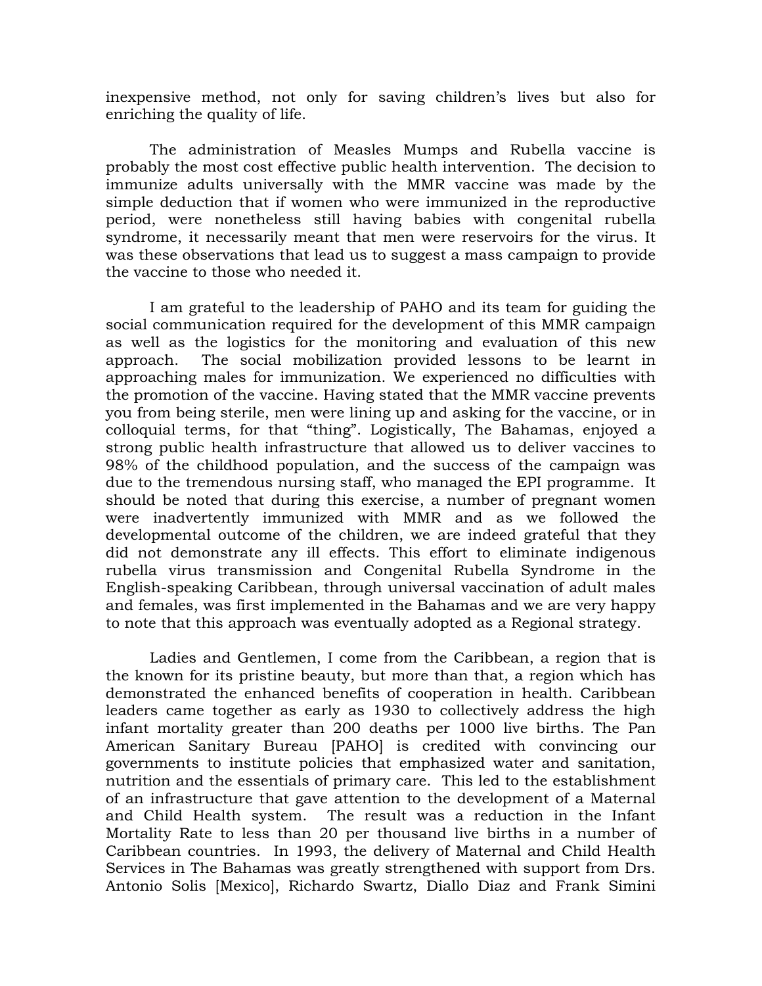inexpensive method, not only for saving children's lives but also for enriching the quality of life.

The administration of Measles Mumps and Rubella vaccine is probably the most cost effective public health intervention. The decision to immunize adults universally with the MMR vaccine was made by the simple deduction that if women who were immunized in the reproductive period, were nonetheless still having babies with congenital rubella syndrome, it necessarily meant that men were reservoirs for the virus. It was these observations that lead us to suggest a mass campaign to provide the vaccine to those who needed it.

I am grateful to the leadership of PAHO and its team for guiding the social communication required for the development of this MMR campaign as well as the logistics for the monitoring and evaluation of this new approach. The social mobilization provided lessons to be learnt in approaching males for immunization. We experienced no difficulties with the promotion of the vaccine. Having stated that the MMR vaccine prevents you from being sterile, men were lining up and asking for the vaccine, or in colloquial terms, for that "thing". Logistically, The Bahamas, enjoyed a strong public health infrastructure that allowed us to deliver vaccines to 98% of the childhood population, and the success of the campaign was due to the tremendous nursing staff, who managed the EPI programme. It should be noted that during this exercise, a number of pregnant women were inadvertently immunized with MMR and as we followed the developmental outcome of the children, we are indeed grateful that they did not demonstrate any ill effects. This effort to eliminate indigenous rubella virus transmission and Congenital Rubella Syndrome in the English-speaking Caribbean, through universal vaccination of adult males and females, was first implemented in the Bahamas and we are very happy to note that this approach was eventually adopted as a Regional strategy.

Ladies and Gentlemen, I come from the Caribbean, a region that is the known for its pristine beauty, but more than that, a region which has demonstrated the enhanced benefits of cooperation in health. Caribbean leaders came together as early as 1930 to collectively address the high infant mortality greater than 200 deaths per 1000 live births. The Pan American Sanitary Bureau [PAHO] is credited with convincing our governments to institute policies that emphasized water and sanitation, nutrition and the essentials of primary care. This led to the establishment of an infrastructure that gave attention to the development of a Maternal and Child Health system. The result was a reduction in the Infant Mortality Rate to less than 20 per thousand live births in a number of Caribbean countries. In 1993, the delivery of Maternal and Child Health Services in The Bahamas was greatly strengthened with support from Drs. Antonio Solis [Mexico], Richardo Swartz, Diallo Diaz and Frank Simini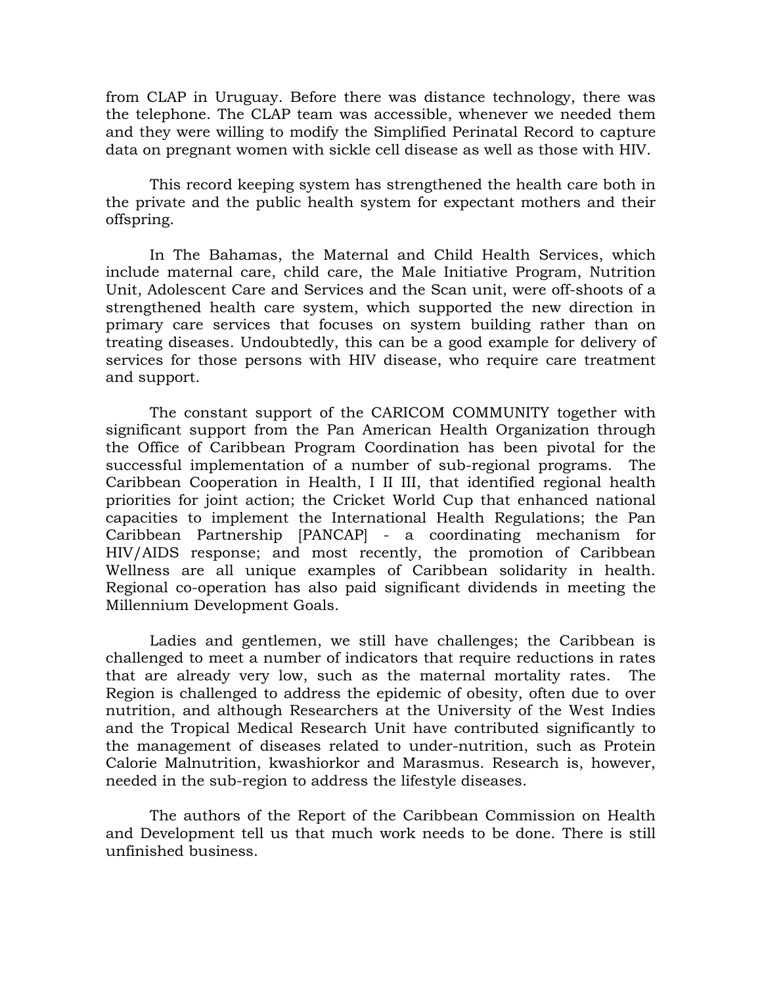from CLAP in Uruguay. Before there was distance technology, there was the telephone. The CLAP team was accessible, whenever we needed them and they were willing to modify the Simplified Perinatal Record to capture data on pregnant women with sickle cell disease as well as those with HIV.

This record keeping system has strengthened the health care both in the private and the public health system for expectant mothers and their offspring.

In The Bahamas, the Maternal and Child Health Services, which include maternal care, child care, the Male Initiative Program, Nutrition Unit, Adolescent Care and Services and the Scan unit, were off-shoots of a strengthened health care system, which supported the new direction in primary care services that focuses on system building rather than on treating diseases. Undoubtedly, this can be a good example for delivery of services for those persons with HIV disease, who require care treatment and support.

The constant support of the CARICOM COMMUNITY together with significant support from the Pan American Health Organization through the Office of Caribbean Program Coordination has been pivotal for the successful implementation of a number of sub-regional programs. The Caribbean Cooperation in Health, I II III, that identified regional health priorities for joint action; the Cricket World Cup that enhanced national capacities to implement the International Health Regulations; the Pan Caribbean Partnership [PANCAP] - a coordinating mechanism for HIV/AIDS response; and most recently, the promotion of Caribbean Wellness are all unique examples of Caribbean solidarity in health. Regional co-operation has also paid significant dividends in meeting the Millennium Development Goals.

Ladies and gentlemen, we still have challenges; the Caribbean is challenged to meet a number of indicators that require reductions in rates that are already very low, such as the maternal mortality rates. The Region is challenged to address the epidemic of obesity, often due to over nutrition, and although Researchers at the University of the West Indies and the Tropical Medical Research Unit have contributed significantly to the management of diseases related to under-nutrition, such as Protein Calorie Malnutrition, kwashiorkor and Marasmus. Research is, however, needed in the sub-region to address the lifestyle diseases.

The authors of the Report of the Caribbean Commission on Health and Development tell us that much work needs to be done. There is still unfinished business.